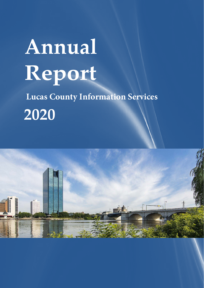# **Annual Report Lucas County Information Services 2020**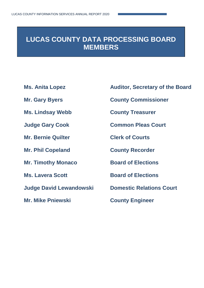## **LUCAS COUNTY DATA PROCESSING BOARD MEMBERS**

- 
- 
- **Ms. Lindsay Webb County Treasurer**
- 
- **Mr. Bernie Quilter Clerk of Courts**
- **Mr. Phil Copeland County Recorder**
- **Mr. Timothy Monaco Board of Elections**
- 
- **Judge David Lewandowski Domestic Relations Court**
- **Mr. Mike Pniewski County Engineer**
- **Ms. Anita Lopez Auditor, Secretary of the Board**
- **Mr. Gary Byers County Commissioner**
	-
- **Judge Gary Cook Common Pleas Court**
	-
	-
	-
- **Ms. Lavera Scott Board of Elections** 
	-
	-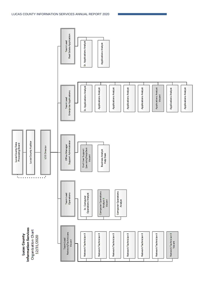

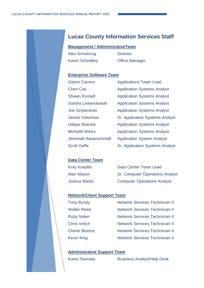### **Lucas County Information Services Staff**

#### **Management / AdministrativeTeam**

Alex Armstrong Director Karen Schnitkey Office Manager

#### **Enterprise Software Team**

| Gianni Carrero        |
|-----------------------|
| <b>Chen Cao</b>       |
| <b>Shawn Russell</b>  |
| Sandra Lewandowski    |
| Joe Szyskowski        |
| <b>James Volschow</b> |
| Udaya Sharma          |
| <b>Michelle Weiss</b> |
| Jeremiah Bauerschmidt |
| <b>Scott Geffe</b>    |

Applications Team Lead **Application Systems Analyst Application Systems Analyst Application Systems Analyst Application Systems Analyst Sr. Application Systems Analyst Application Systems Analyst Application Systems Analyst** Application System Analyst Sr. Application Systems Analyst

#### **Data Center Team**

| Kory Koepfer | Data Center Team Lead                  |
|--------------|----------------------------------------|
| Alan Mason   | <b>Sr. Computer Operations Analyst</b> |
| Joshua Marks | <b>Computer Operations Analyst</b>     |

#### **Network/Client Support Team**

| <b>Tony Bundy</b>    | <b>Network Services Technician II</b> |
|----------------------|---------------------------------------|
| Walter Reed          | <b>Network Services Technician II</b> |
| <b>Ruby Nolen</b>    | <b>Network Services Technician II</b> |
| <b>Chris Veitch</b>  | <b>Network Services Technician II</b> |
| <b>Cherie Muetze</b> | <b>Network Services Technician II</b> |
| Kevin King           | <b>Network Services Technician II</b> |

#### **Administrative Support Team**

Karen Ramsey Business Analyst/Help Desk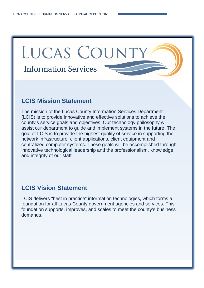## LUCAS COUNTY Information Services

## **LCIS Mission Statement**

The mission of the Lucas County Information Services Department (LCIS) is to provide innovative and effective solutions to achieve the county's service goals and objectives. Our technology philosophy will assist our department to guide and implement systems in the future. The goal of LCIS is to provide the highest quality of service in supporting the network infrastructure, client applications, client equipment and centralized computer systems. These goals will be accomplished through innovative technological leadership and the professionalism, knowledge and integrity of our staff.

## **LCIS Vision Statement**

LCIS delivers "best in practice" information technologies, which forms a foundation for all Lucas County government agencies and services. This foundation supports, improves, and scales to meet the county's business demands.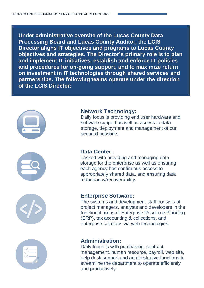**Under administrative oversite of the Lucas County Data Processing Board and Lucas County Auditor, the LCIS Director aligns IT objectives and programs to Lucas County objectives and strategies. The Director's primary role is to plan and implement IT initiatives, establish and enforce IT policies and procedures for on-going support, and to maximize return on investment in IT technologies through shared services and partnerships. The following teams operate under the direction of the LCIS Director:**









#### **Network Technology:**

Daily focus is providing end user hardware and software support as well as access to data storage, deployment and management of our secured networks.

#### **Data Center:**

Tasked with providing and managing data storage for the enterprise as well as ensuring each agency has continuous access to appropriately shared data, and ensuring data redundancy/recoverability.

#### **Enterprise Software:**

The systems and development staff consists of project managers, analysts and developers in the functional areas of Enterprise Resource Planning (ERP), tax accounting & collections, and enterprise solutions via web technologies

#### **Administration:**

Daily focus is with purchasing, contract management, human resource, payroll, web site, help desk support and administrative functions to streamline the department to operate efficiently and productively.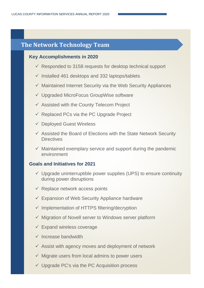## **The Network Technology Team**

#### **Key Accomplishments in 2020**

- $\checkmark$  Responded to 3158 requests for desktop technical support
- $\checkmark$  Installed 461 desktops and 332 laptops/tablets
- $\checkmark$  Maintained Internet Security via the Web Security Appliances
- Upgraded MicroFocus GroupWise software
- $\checkmark$  Assisted with the County Telecom Project
- $\checkmark$  Replaced PCs via the PC Upgrade Project
- $\checkmark$  Deployed Guest Wireless
- $\checkmark$  Assisted the Board of Elections with the State Network Security **Directives**
- $\checkmark$  Maintained exemplary service and support during the pandemic environment

#### **Goals and Initiatives for 2021**

- $\checkmark$  Upgrade uninterruptible power supplies (UPS) to ensure continuity during power disruptions
- $\checkmark$  Replace network access points
- $\checkmark$  Expansion of Web Security Appliance hardware
- $\checkmark$  Implementation of HTTPS filtering/decryption
- $\checkmark$  Migration of Novell server to Windows server platform
- $\checkmark$  Expand wireless coverage
- $\checkmark$  Increase bandwidth
- $\checkmark$  Assist with agency moves and deployment of network
- $\checkmark$  Migrate users from local admins to power users
- $\checkmark$  Upgrade PC's via the PC Acquisition process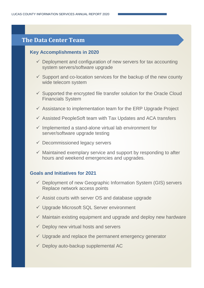### **The Data Center Team**

#### **Key Accomplishments in 2020**

- $\checkmark$  Deployment and configuration of new servers for tax accounting system servers/software upgrade
- $\checkmark$  Support and co-location services for the backup of the new county wide telecom system
- $\checkmark$  Supported the encrypted file transfer solution for the Oracle Cloud Financials System
- $\checkmark$  Assistance to implementation team for the ERP Upgrade Project
- $\checkmark$  Assisted PeopleSoft team with Tax Updates and ACA transfers
- $\checkmark$  Implemented a stand-alone virtual lab environment for server/software upgrade testing
- $\checkmark$  Decommissioned legacy servers
- $\checkmark$  Maintained exemplary service and support by responding to after hours and weekend emergencies and upgrades.

#### **Goals and Initiatives for 2021**

- $\checkmark$  Deployment of new Geographic Information System (GIS) servers Replace network access points
- $\checkmark$  Assist courts with server OS and database upgrade
- Upgrade Microsoft SQL Server environment
- $\checkmark$  Maintain existing equipment and upgrade and deploy new hardware
- $\checkmark$  Deploy new virtual hosts and servers
- $\checkmark$  Upgrade and replace the permanent emergency generator
- $\checkmark$  Deploy auto-backup supplemental AC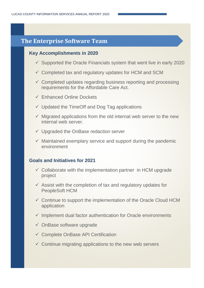## **The Data Center Team The Enterprise Software Team**

## **Key Accomplishments in 2020 Key Accomplishments in 2020**

- $\checkmark$  Supported the Oracle Financials system that went live in early 20 supported the station matterials of  $\checkmark$  Supported the Oracle Financials system that went live in early 2020
- Support and complete the backup of the services for the services for the services of the new county  $\checkmark$  Completed tax and regulatory updates for HCM and SCM
- $\checkmark$  Completed updates regarding business reporting and processing  $S_{\rm eff}$  supported the encrypted file transfer solution for the Oracle Cloud Cloud Cloud Cloud Cloud Cloud Cloud requirements for the Affordable Care Act.
- $\checkmark$  Enhanced Online Dockets
- $\checkmark$  Updated the TimeOff and Dog Tag applications
- $\checkmark$  Migrated applications from the old internal web server to the new internal web server.
- $\checkmark$  Upgraded the OnBase redaction server
- $\checkmark$  Maintained exemplary service and support during the pandemic environment

#### hours and weekend emergencies and upgrades. **Goals and Initiatives for 2021**

- Gollaborate with the implementation partner in HCM upgrade project
	- $\ell$  . A paint of the three geographic International system (GIS) servers defeating  $\ell$  $\checkmark$  Assist with the completion of tax and regulatory updates for PeopleSoft HCM
	- Assist courts with server OS and database upgrade upplication application of  $\mathbb{R}^n$  $\checkmark$  Continue to support the implementation of the Oracle Cloud HCM
	- $\checkmark$  Implement dual factor authentication for Oracle environments
	- $\checkmark$  OnBase software upgrade
	- ✓ Complete OnBase API Certification
	- $\checkmark$  Continue migrating applications to the new web servers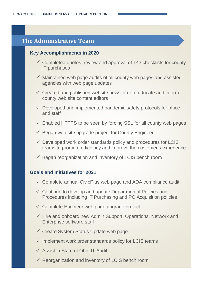## **The Administrative Team**

#### **Key Accomplishments in 2020**

- $\checkmark$  Completed quotes, review and approval of 143 checklists for county IT purchases
- $\checkmark$  Maintained web page audits of all county web pages and assisted agencies with web page updates
- $\checkmark$  Created and published website newsletter to educate and inform county web site content editors
- $\checkmark$  Developed and implemented pandemic safety protocols for office and staff
- $\checkmark$  Enabled HTTPS to be seen by forcing SSL for all county web pages
- $\checkmark$  Began web site upgrade project for County Engineer
- $\checkmark$  Developed work order standards policy and procedures for LCIS teams to promote efficiency and improve the customer's experience
- $\checkmark$  Began reorganization and inventory of LCIS bench room

#### **Goals and Initiatives for 2021**

- $\checkmark$  Complete annual CivicPlus web page and ADA compliance audit
- $\checkmark$  Continue to develop and update Departmental Policies and Procedures including IT Purchasing and PC Acquisition policies
- $\checkmark$  Complete Engineer web page upgrade project
- $\checkmark$  Hire and onboard new Admin Support, Operations, Network and Enterprise software staff
- $\checkmark$  Create System Status Update web page
- $\checkmark$  Implement work order standards policy for LCIS teams
- $\checkmark$  Assist in State of Ohio IT Audit
- $\checkmark$  Reorganization and inventory of LCIS bench room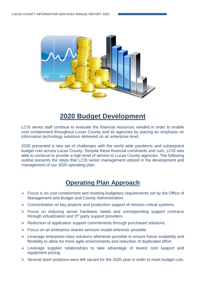

## **2020 Budget Development**

LCIS senior staff continue to evaluate the financial resources needed in order to enable cost containment throughout Lucas County and its agencies by placing an emphasis on information technology solutions delivered on an enterprise level.

2020 presented a new set of challenges with the world wide pandemic and subsequent budget cuts across Lucas County. Despite these financial constraints and cuts, LCIS was able to continue to provide a high level of service to Lucas County agencies. The following outline presents the steps that LCIS senior management utilized in the development and management of our 2020 operating plan.

## **Operating Plan Approach**

- $\triangleright$  Focus is on cost containment and meeting budgetary requirements set by the Office of Management and Budget and County Administration.
- $\triangleright$  Concentration on key projects and production support of mission critical systems.
- Focus on reducing server hardware needs and corresponding support contracts through virtualization and 3<sup>rd</sup> party support providers.
- $\triangleright$  Reduction of application support commitments through purchased solutions.
- $\triangleright$  Focus on an enterprise shared services model wherever possible.
- $\triangleright$  Leverage enterprise-class solutions whenever possible to ensure future scalability and flexibility to allow for more agile environments and reduction of duplicated effort.
- Leverage supplier relationships to take advantage of lowest cost support and equipment pricing.
- $\triangleright$  Several team positions were left vacant for the 2020 year in order to meet budget cuts.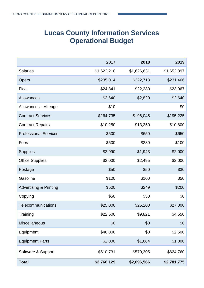## **Lucas County Information Services Operational Budget**

|                                   | 2017        | 2018        | 2019        |
|-----------------------------------|-------------|-------------|-------------|
| <b>Salaries</b>                   | \$1,622,218 | \$1,626,631 | \$1,652,897 |
| Opers                             | \$235,014   | \$222,713   | \$231,406   |
| Fica                              | \$24,341    | \$22,280    | \$23,967    |
| Allowances                        | \$2,640     | \$2,820     | \$2,640     |
| Allowances - Mileage              | \$10        |             | \$0         |
| <b>Contract Services</b>          | \$264,735   | \$196,045   | \$195,225   |
| <b>Contract Repairs</b>           | \$10,250    | \$13,250    | \$10,800    |
| <b>Professional Services</b>      | \$500       | \$650       | \$650       |
| Fees                              | \$500       | \$280       | \$100       |
| <b>Supplies</b>                   | \$2,990     | \$1,943     | \$2,000     |
| <b>Office Supplies</b>            | \$2,000     | \$2,495     | \$2,000     |
| Postage                           | \$50        | \$50        | \$30        |
| Gasoline                          | \$100       | \$100       | \$50        |
| <b>Advertising &amp; Printing</b> | \$500       | \$249       | \$200       |
| Copying                           | \$50        | \$50        | \$0         |
| Telecommunications                | \$25,000    | \$25,200    | \$27,000    |
| Training                          | \$22,500    | \$9,821     | \$4,550     |
| <b>Miscellaneous</b>              | \$0         | \$0         | \$0         |
| Equipment                         | \$40,000    | \$0         | \$2,500     |
| <b>Equipment Parts</b>            | \$2,000     | \$1,684     | \$1,000     |
| Software & Support                | \$510,731   | \$570,305   | \$624,760   |
| <b>Total</b>                      | \$2,766,129 | \$2,696,566 | \$2,781,775 |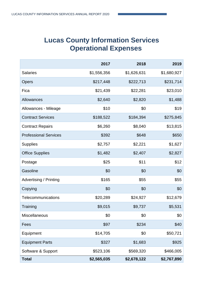## **Lucas County Information Services Operational Expenses**

|                               | 2017        | 2018        | 2019        |
|-------------------------------|-------------|-------------|-------------|
| <b>Salaries</b>               | \$1,556,356 | \$1,626,631 | \$1,680,927 |
| <b>Opers</b>                  | \$217,448   | \$222,713   | \$231,714   |
| Fica                          | \$21,439    | \$22,281    | \$23,010    |
| Allowances                    | \$2,640     | \$2,820     | \$1,488     |
| Allowances - Mileage          | \$10        | \$0         | \$19        |
| <b>Contract Services</b>      | \$188,522   | \$184,394   | \$275,845   |
| <b>Contract Repairs</b>       | \$6,260     | \$8,040     | \$13,815    |
| <b>Professional Services</b>  | \$392       | \$648       | \$650       |
| <b>Supplies</b>               | \$2,757     | \$2,221     | \$1,627     |
| <b>Office Supplies</b>        | \$1,482     | \$2,407     | \$2,827     |
| Postage                       | \$25        | \$11        | \$12        |
| Gasoline                      | \$0         | \$0         | \$0         |
| <b>Advertising / Printing</b> | \$165       | \$55        | \$55        |
| Copying                       | \$0         | \$0         | \$0         |
| Telecommunications            | \$20,289    | \$24,927    | \$12,679    |
| Training                      | \$9,015     | \$9,737     | \$5,531     |
| <b>Miscellaneous</b>          | \$0         | \$0         | \$0         |
| Fees                          | \$97        | \$234       | \$40        |
| Equipment                     | \$14,705    | \$0         | \$50,721    |
| <b>Equipment Parts</b>        | \$327       | \$1,683     | \$925       |
| Software & Support            | \$523,106   | \$569,320   | \$466,005   |
| <b>Total</b>                  | \$2,565,035 | \$2,678,122 | \$2,767,890 |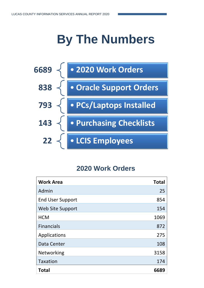## **By The Numbers**



## **2020 Work Orders**

| <b>Work Area</b>        | <b>Total</b> |
|-------------------------|--------------|
| Admin                   | 25           |
| <b>End User Support</b> | 854          |
| Web Site Support        | 154          |
| <b>HCM</b>              | 1069         |
| <b>Financials</b>       | 872          |
| Applications            | 275          |
| Data Center             | 108          |
| Networking              | 3158         |
| <b>Taxation</b>         | 174          |
| <b>Total</b>            | 6689         |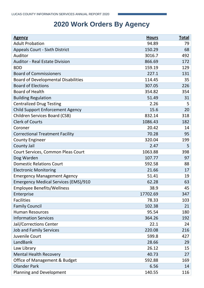## **2020 Work Orders By Agency**

| <b>Agency</b>                               | <b>Hours</b> | <b>Total</b> |
|---------------------------------------------|--------------|--------------|
| <b>Adult Probation</b>                      | 94.89        | 79           |
| <b>Appeals Court - Sixth District</b>       | 150.29       | 68           |
| Auditor                                     | 3016.7       | 492          |
| <b>Auditor - Real Estate Division</b>       | 866.69       | 172          |
| <b>BDD</b>                                  | 159.19       | 129          |
| <b>Board of Commissioners</b>               | 227.1        | 131          |
| <b>Board of Developmental Disabilities</b>  | 114.45       | 35           |
| <b>Board of Elections</b>                   | 307.05       | 226          |
| <b>Board of Health</b>                      | 354.82       | 354          |
| <b>Building Regulation</b>                  | 51.49        | 31           |
| <b>Centralized Drug Testing</b>             | 2.26         | 5            |
| <b>Child Support Enforcement Agency</b>     | 15.6         | 20           |
| <b>Children Services Board (CSB)</b>        | 832.14       | 318          |
| <b>Clerk of Courts</b>                      | 1086.43      | 182          |
| Coroner                                     | 20.42        | 14           |
| <b>Correctional Treatment Facility</b>      | 70.28        | 95           |
| <b>County Engineer</b>                      | 320.04       | 199          |
| County Jail                                 | 2.47         | 5            |
| Court Services, Common Pleas Court          | 1063.88      | 398          |
| Dog Warden                                  | 107.77       | 97           |
| <b>Domestic Relations Court</b>             | 592.58       | 88           |
| <b>Electronic Monitoring</b>                | 21.66        | 17           |
| <b>Emergency Management Agency</b>          | 51.41        | 19           |
| <b>Emergency Medical Services (EMS)/910</b> | 62.28        | 63           |
| <b>Employee Benefits/Wellness</b>           | 38.9         | 45           |
| Enterprise                                  | 17702.69     | 347          |
| <b>Facilities</b>                           | 78.33        | 103          |
| <b>Family Council</b>                       | 102.38       | 21           |
| <b>Human Resources</b>                      | 95.54        | 180          |
| <b>Information Services</b>                 | 364.26       | 192          |
| Jail/Corrections Center                     | 22.1         | 24           |
| <b>Job and Family Services</b>              | 220.08       | 216          |
| Juvenile Court                              | 599.8        | 427          |
| LandBank                                    | 28.66        | 29           |
| Law Library                                 | 26.12        | 15           |
| <b>Mental Health Recovery</b>               | 40.73        | 27           |
| Office of Management & Budget               | 592.88       | 169          |
| <b>Olander Park</b>                         | 6.56         | 14           |
| Planning and Development                    | 140.55       | 116          |